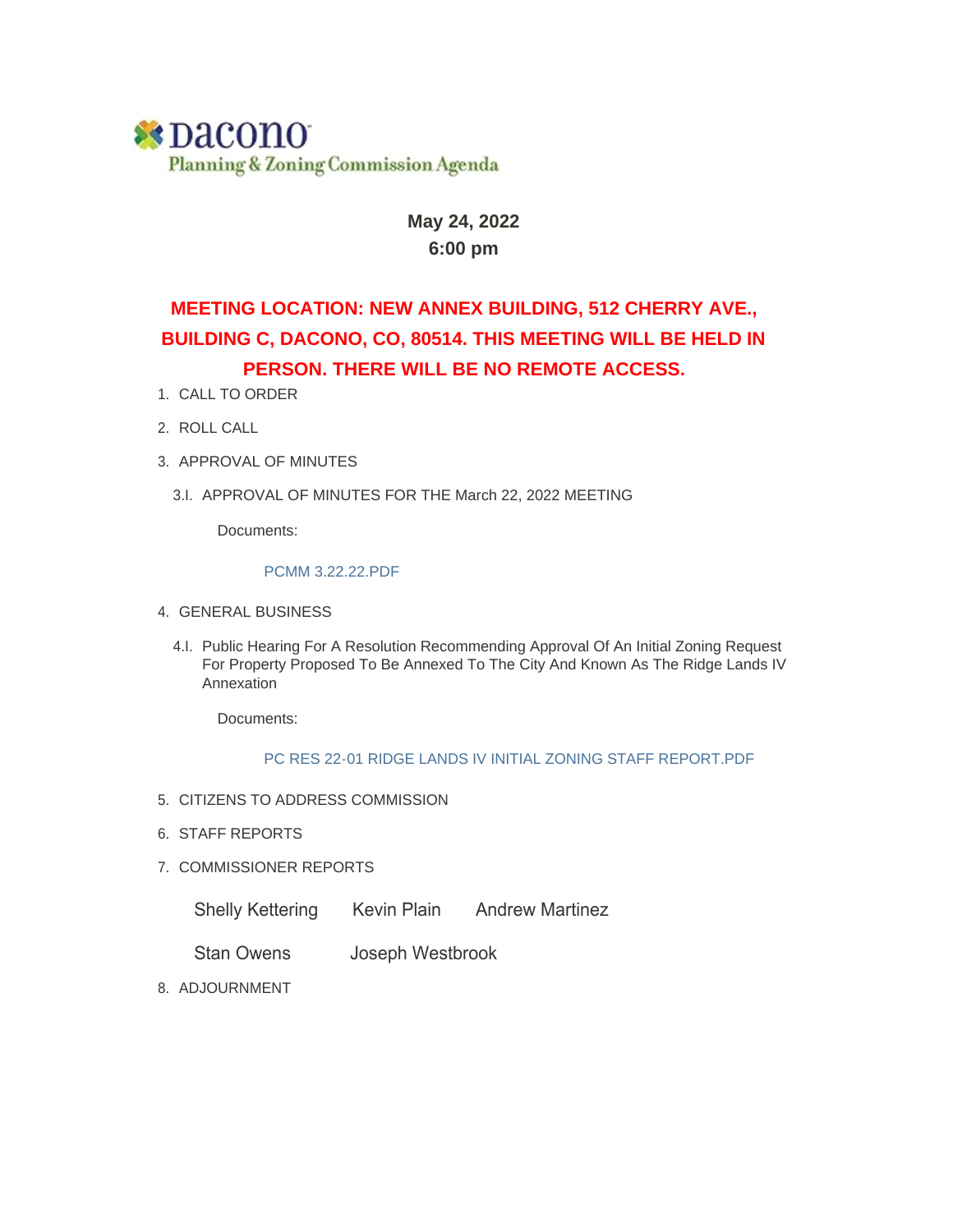## **\*Dacono** Planning & Zoning Commission Agenda

#### **May 24, 2022 6:00 pm**

## **MEETING LOCATION: NEW ANNEX BUILDING, 512 CHERRY AVE., BUILDING C, DACONO, CO, 80514. THIS MEETING WILL BE HELD IN PERSON. THERE WILL BE NO REMOTE ACCESS.**

- 1. CALL TO ORDER
- 2. ROLL CALL
- 3. APPROVAL OF MINUTES
	- 3.I. APPROVAL OF MINUTES FOR THE March 22, 2022 MEETING

Documents:

#### PCMM 3.22.22.PDF

- GENERAL BUSINESS 4.
	- 4.I. Public Hearing For A Resolution Recommending Approval Of An Initial Zoning Request For Property Proposed To Be Annexed To The City And Known As The Ridge Lands IV Annexation

Documents:

#### PC RES 22-01 RIDGE LANDS IV INITIAL ZONING STAFF REPORT.PDF

- 5. CITIZENS TO ADDRESS COMMISSION
- 6. STAFF REPORTS
- 7. COMMISSIONER REPORTS
	- Shelly Kettering Kevin Plain Andrew Martinez
	- Stan Owens Joseph Westbrook
- 8. ADJOURNMENT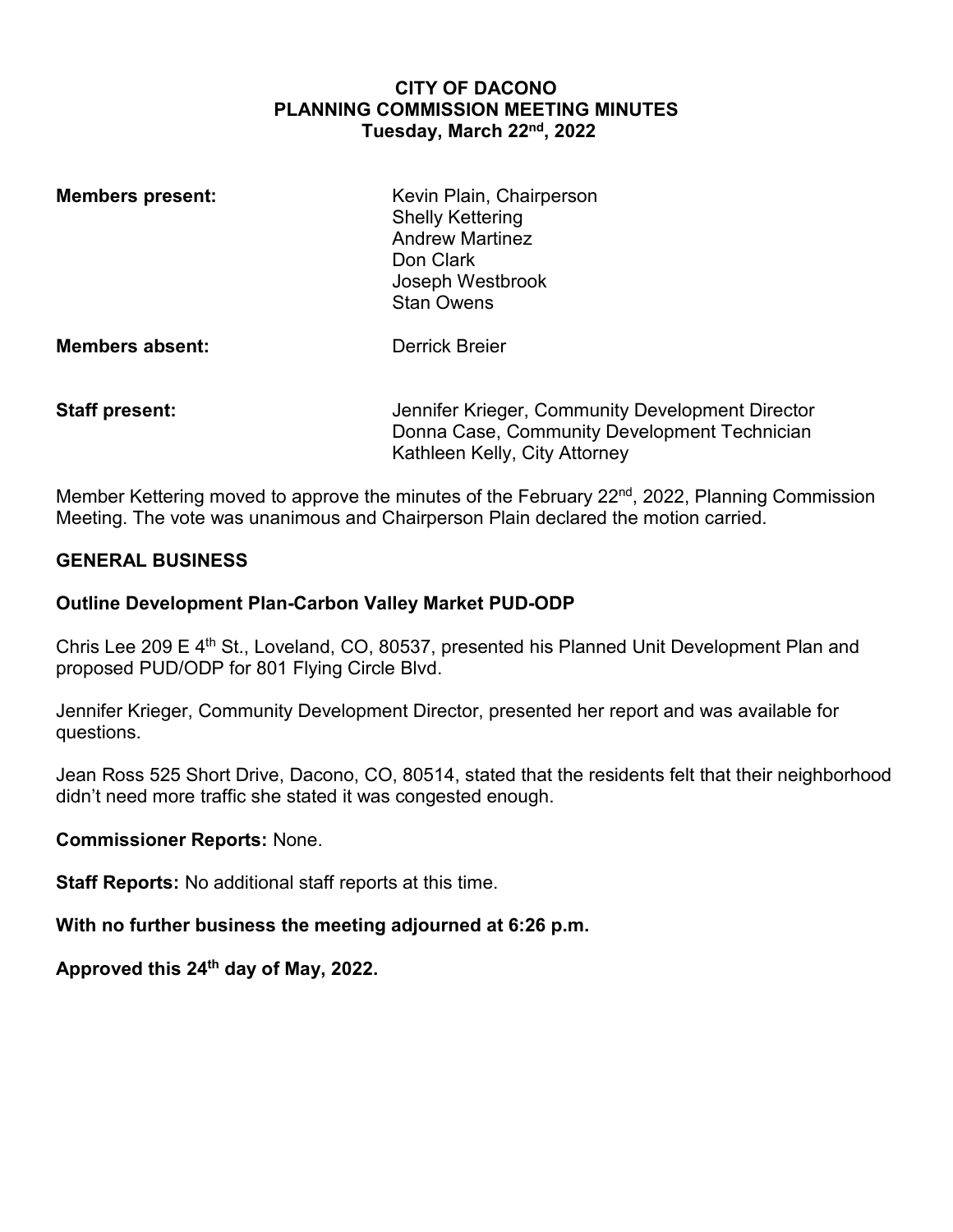#### **CITY OF DACONO PLANNING COMMISSION MEETING MINUTES Tuesday, March 22nd, 2022**

| <b>Members present:</b> | Kevin Plain, Chairperson<br><b>Shelly Kettering</b><br><b>Andrew Martinez</b><br>Don Clark<br>Joseph Westbrook<br><b>Stan Owens</b> |
|-------------------------|-------------------------------------------------------------------------------------------------------------------------------------|
| <b>Members absent:</b>  | <b>Derrick Breier</b>                                                                                                               |
| <b>Staff present:</b>   | Jennifer Krieger, Community Development Director<br>Donna Case, Community Development Technician<br>Kathleen Kelly, City Attorney   |

Member Kettering moved to approve the minutes of the February 22<sup>nd</sup>, 2022, Planning Commission Meeting. The vote was unanimous and Chairperson Plain declared the motion carried.

#### **GENERAL BUSINESS**

#### **Outline Development Plan-Carbon Valley Market PUD-ODP**

Chris Lee 209 E 4<sup>th</sup> St., Loveland, CO, 80537, presented his Planned Unit Development Plan and proposed PUD/ODP for 801 Flying Circle Blvd.

Jennifer Krieger, Community Development Director, presented her report and was available for questions.

Jean Ross 525 Short Drive, Dacono, CO, 80514, stated that the residents felt that their neighborhood didn't need more traffic she stated it was congested enough.

#### **Commissioner Reports:** None.

**Staff Reports:** No additional staff reports at this time.

**With no further business the meeting adjourned at 6:26 p.m.**

**Approved this 24th day of May, 2022.**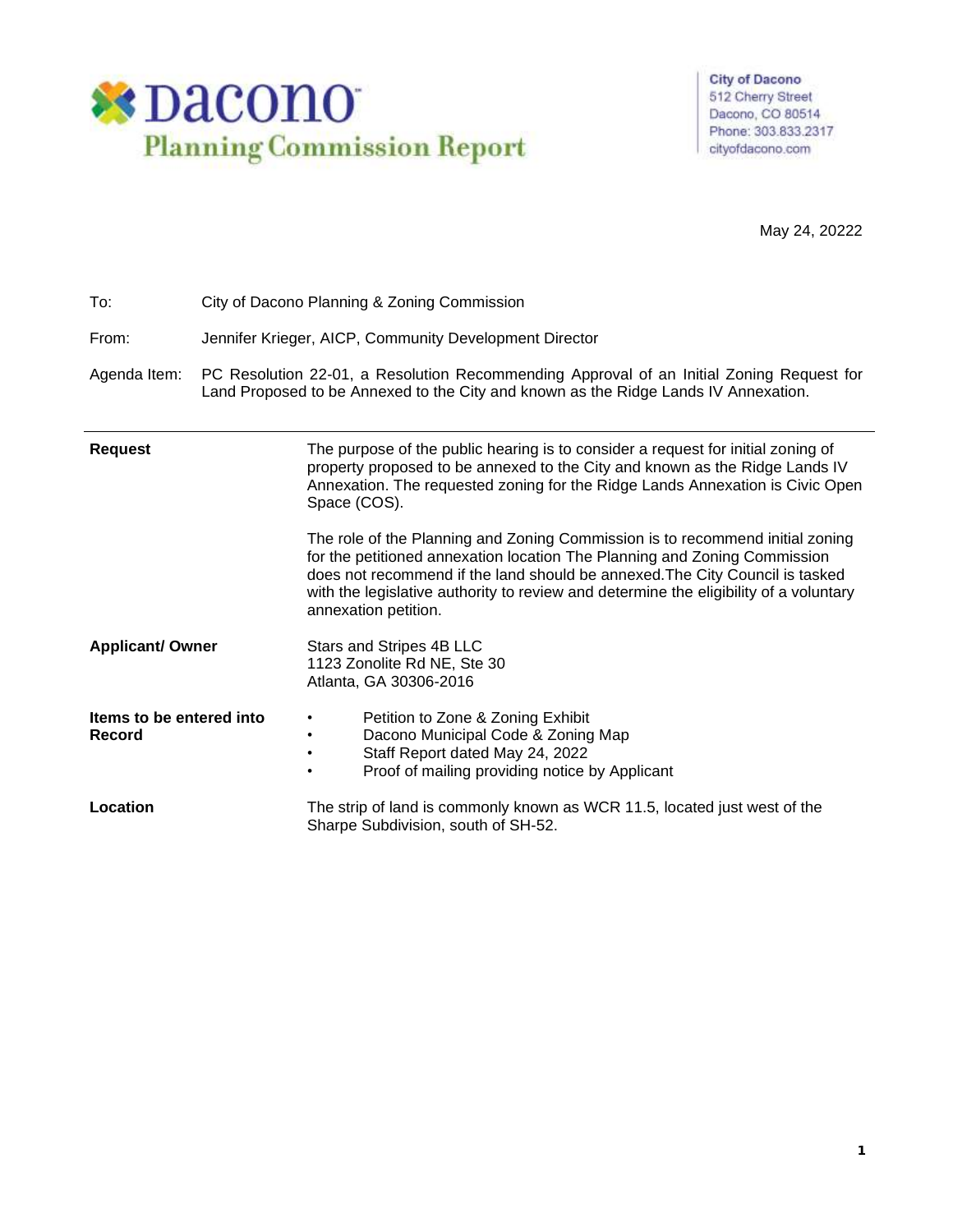

**City of Dacono** 512 Cherry Street Dacono, CO 80514 Phone: 303.833.2317 cityofdacono.com

May 24, 20222

| To:                                | City of Dacono Planning & Zoning Commission                                                                                                                                                                                                                                                                                                                                                                                                                                                                                                                                                                                     |  |  |  |  |  |  |
|------------------------------------|---------------------------------------------------------------------------------------------------------------------------------------------------------------------------------------------------------------------------------------------------------------------------------------------------------------------------------------------------------------------------------------------------------------------------------------------------------------------------------------------------------------------------------------------------------------------------------------------------------------------------------|--|--|--|--|--|--|
| From:                              | Jennifer Krieger, AICP, Community Development Director                                                                                                                                                                                                                                                                                                                                                                                                                                                                                                                                                                          |  |  |  |  |  |  |
| Agenda Item:                       | PC Resolution 22-01, a Resolution Recommending Approval of an Initial Zoning Request for<br>Land Proposed to be Annexed to the City and known as the Ridge Lands IV Annexation.                                                                                                                                                                                                                                                                                                                                                                                                                                                 |  |  |  |  |  |  |
| <b>Request</b>                     | The purpose of the public hearing is to consider a request for initial zoning of<br>property proposed to be annexed to the City and known as the Ridge Lands IV<br>Annexation. The requested zoning for the Ridge Lands Annexation is Civic Open<br>Space (COS).<br>The role of the Planning and Zoning Commission is to recommend initial zoning<br>for the petitioned annexation location The Planning and Zoning Commission<br>does not recommend if the land should be annexed. The City Council is tasked<br>with the legislative authority to review and determine the eligibility of a voluntary<br>annexation petition. |  |  |  |  |  |  |
| <b>Applicant/ Owner</b>            | Stars and Stripes 4B LLC<br>1123 Zonolite Rd NE, Ste 30<br>Atlanta, GA 30306-2016                                                                                                                                                                                                                                                                                                                                                                                                                                                                                                                                               |  |  |  |  |  |  |
| Items to be entered into<br>Record | Petition to Zone & Zoning Exhibit<br>$\bullet$<br>Dacono Municipal Code & Zoning Map<br>$\bullet$<br>Staff Report dated May 24, 2022<br>$\bullet$<br>Proof of mailing providing notice by Applicant<br>$\bullet$                                                                                                                                                                                                                                                                                                                                                                                                                |  |  |  |  |  |  |
| Location                           | The strip of land is commonly known as WCR 11.5, located just west of the<br>Sharpe Subdivision, south of SH-52.                                                                                                                                                                                                                                                                                                                                                                                                                                                                                                                |  |  |  |  |  |  |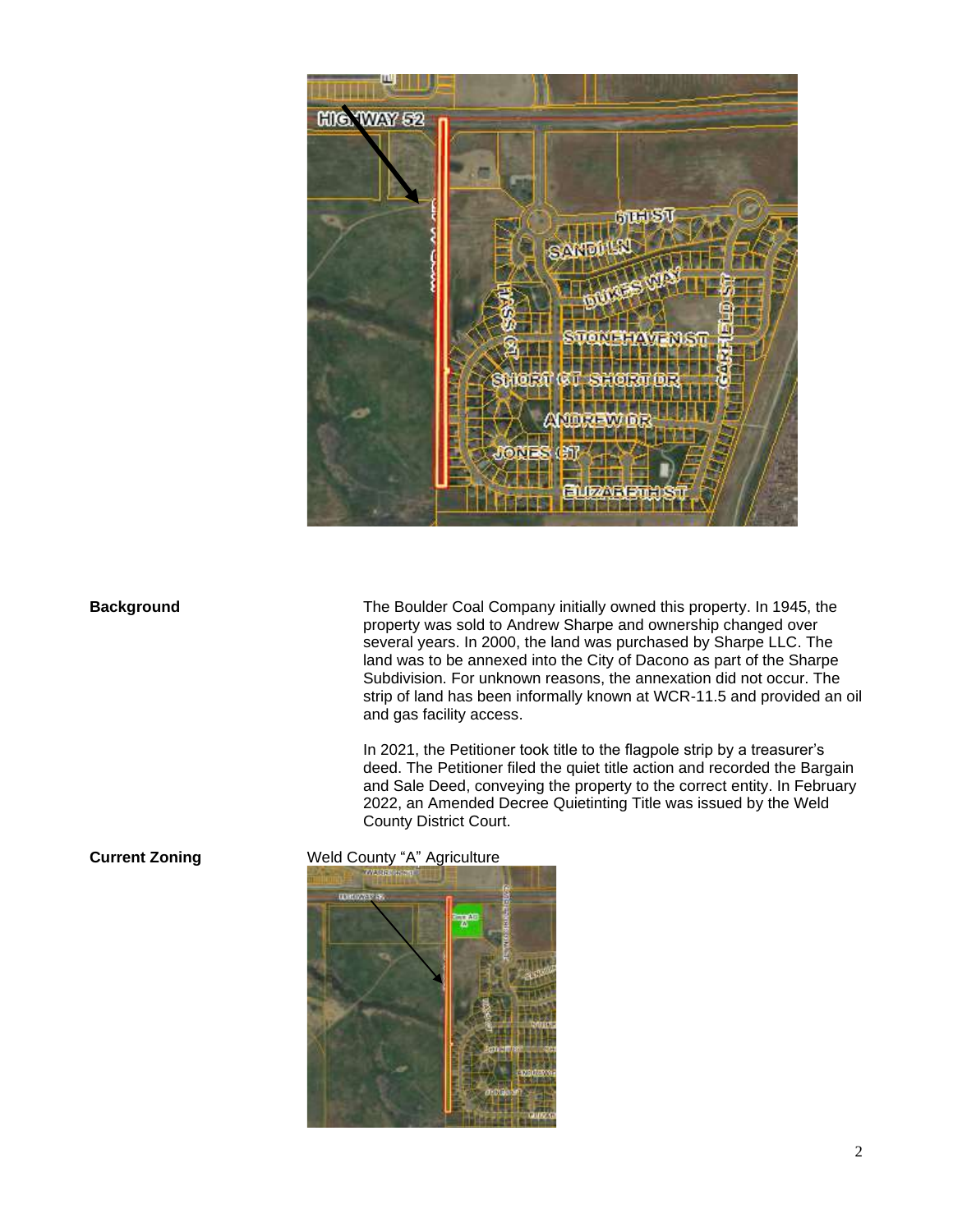

**Background** The Boulder Coal Company initially owned this property. In 1945, the property was sold to Andrew Sharpe and ownership changed over several years. In 2000, the land was purchased by Sharpe LLC. The land was to be annexed into the City of Dacono as part of the Sharpe Subdivision. For unknown reasons, the annexation did not occur. The strip of land has been informally known at WCR-11.5 and provided an oil and gas facility access.

> In 2021, the Petitioner took title to the flagpole strip by a treasurer's deed. The Petitioner filed the quiet title action and recorded the Bargain and Sale Deed, conveying the property to the correct entity. In February 2022, an Amended Decree Quietinting Title was issued by the Weld County District Court.

**Current Zoning** Weld County "A" Agriculture

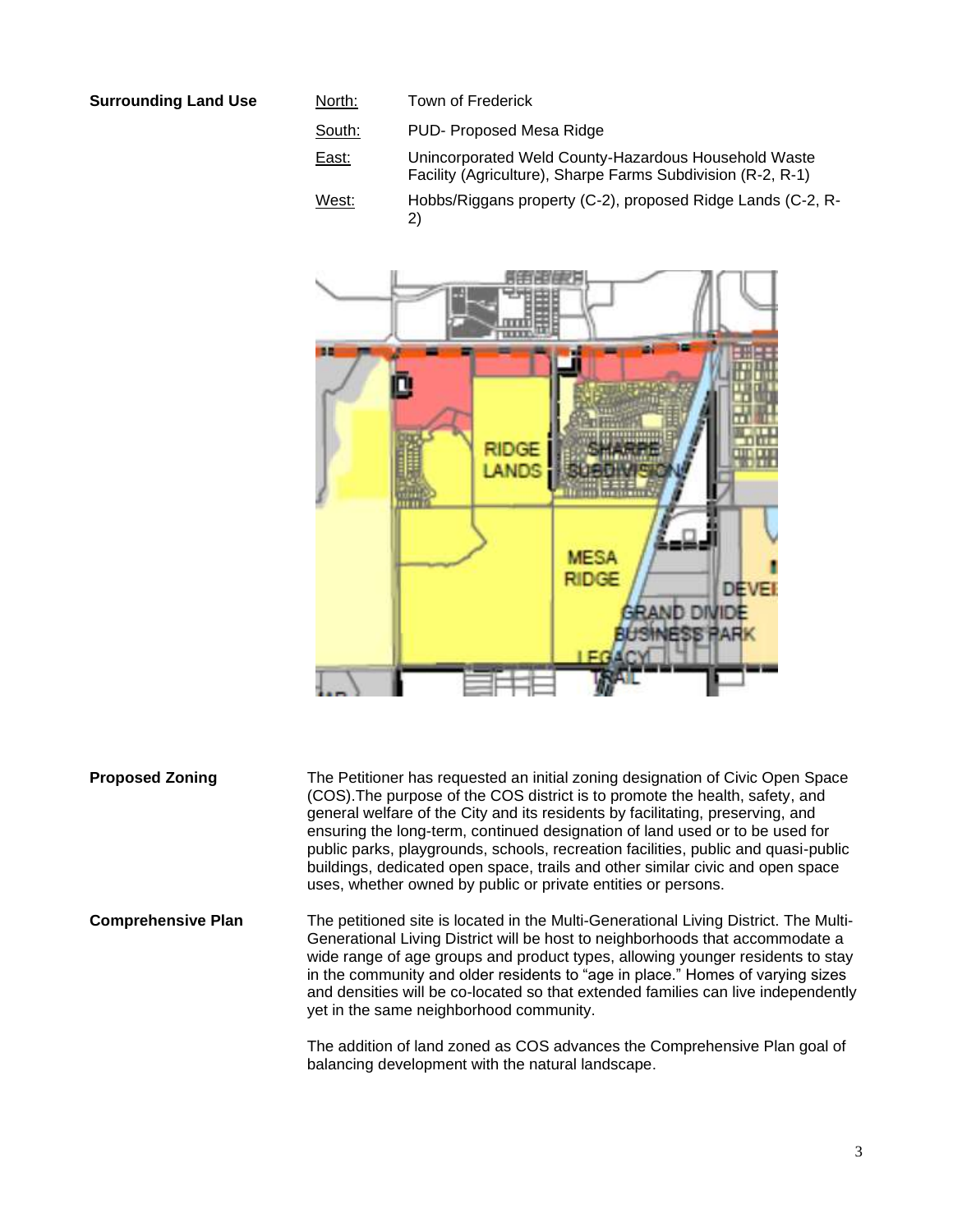#### **Surrounding Land Use**

| North: | Town of Frederick                                                                                                   |
|--------|---------------------------------------------------------------------------------------------------------------------|
| South: | PUD-Proposed Mesa Ridge                                                                                             |
| East:  | Unincorporated Weld County-Hazardous Household Waste<br>Facility (Agriculture), Sharpe Farms Subdivision (R-2, R-1) |
| West:  | Hobbs/Riggans property (C-2), proposed Ridge Lands (C-2, R-<br>2)                                                   |



**Proposed Zoning** The Petitioner has requested an initial zoning designation of Civic Open Space (COS).The purpose of the COS district is to promote the health, safety, and general welfare of the City and its residents by facilitating, preserving, and ensuring the long-term, continued designation of land used or to be used for public parks, playgrounds, schools, recreation facilities, public and quasi-public buildings, dedicated open space, trails and other similar civic and open space uses, whether owned by public or private entities or persons.

**Comprehensive Plan** The petitioned site is located in the Multi-Generational Living District. The Multi-Generational Living District will be host to neighborhoods that accommodate a wide range of age groups and product types, allowing younger residents to stay in the community and older residents to "age in place." Homes of varying sizes and densities will be co-located so that extended families can live independently yet in the same neighborhood community.

> The addition of land zoned as COS advances the Comprehensive Plan goal of balancing development with the natural landscape.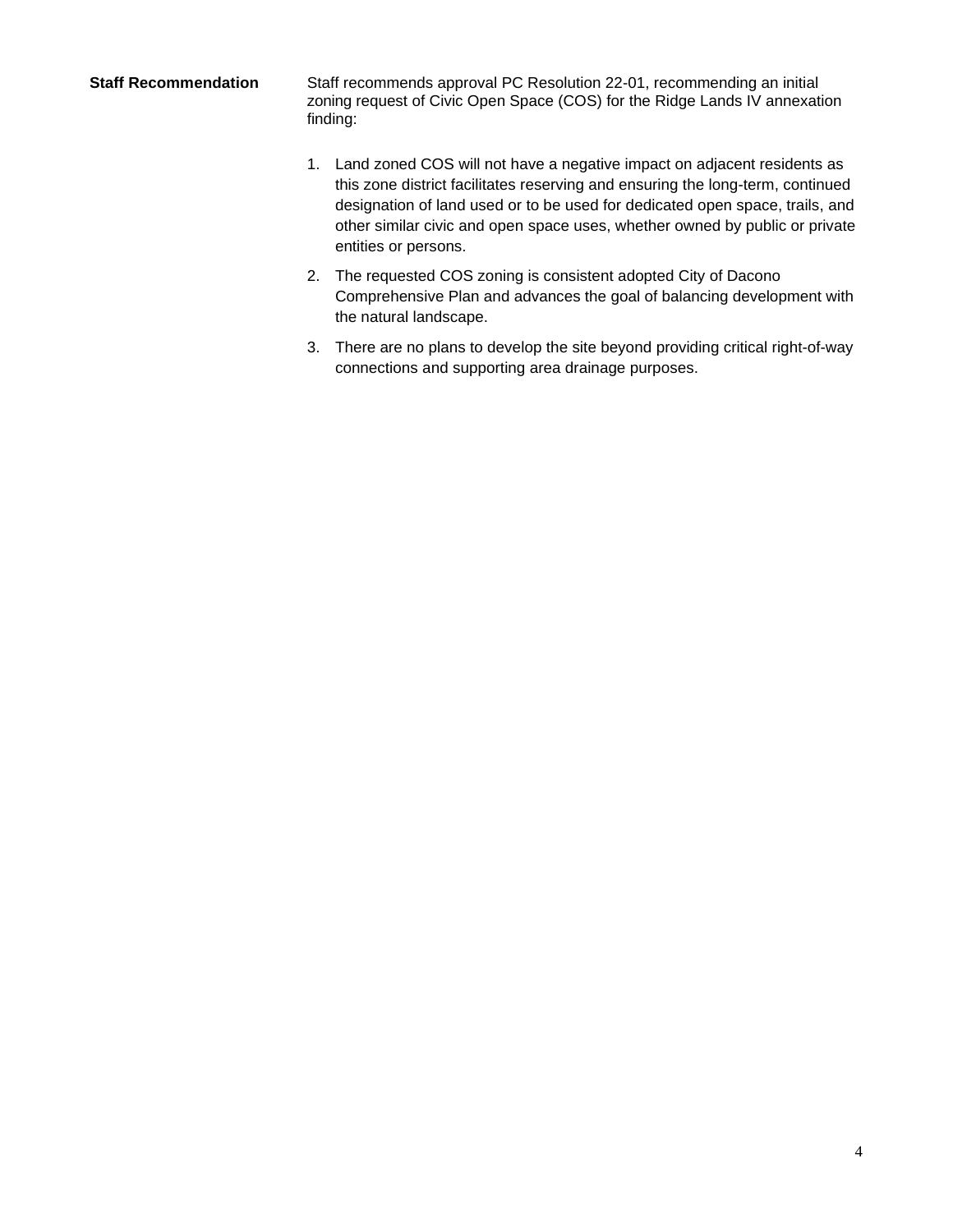**Staff Recommendation** Staff recommends approval PC Resolution 22-01, recommending an initial zoning request of Civic Open Space (COS) for the Ridge Lands IV annexation finding:

- 1. Land zoned COS will not have a negative impact on adjacent residents as this zone district facilitates reserving and ensuring the long-term, continued designation of land used or to be used for dedicated open space, trails, and other similar civic and open space uses, whether owned by public or private entities or persons.
- 2. The requested COS zoning is consistent adopted City of Dacono Comprehensive Plan and advances the goal of balancing development with the natural landscape.
- 3. There are no plans to develop the site beyond providing critical right-of-way connections and supporting area drainage purposes.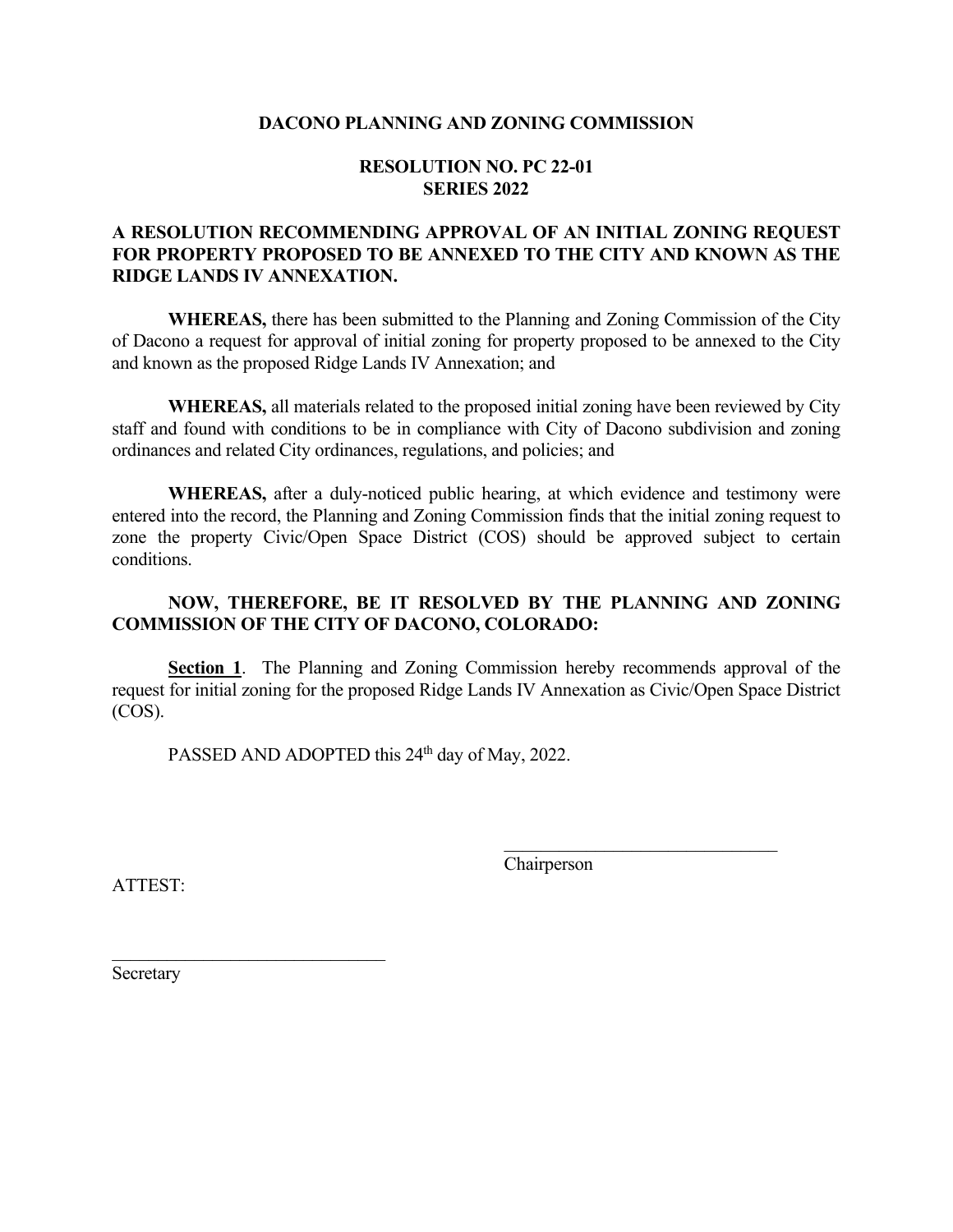#### **DACONO PLANNING AND ZONING COMMISSION**

#### **RESOLUTION NO. PC 22-01 SERIES 2022**

#### **A RESOLUTION RECOMMENDING APPROVAL OF AN INITIAL ZONING REQUEST FOR PROPERTY PROPOSED TO BE ANNEXED TO THE CITY AND KNOWN AS THE RIDGE LANDS IV ANNEXATION.**

**WHEREAS,** there has been submitted to the Planning and Zoning Commission of the City of Dacono a request for approval of initial zoning for property proposed to be annexed to the City and known as the proposed Ridge Lands IV Annexation; and

**WHEREAS,** all materials related to the proposed initial zoning have been reviewed by City staff and found with conditions to be in compliance with City of Dacono subdivision and zoning ordinances and related City ordinances, regulations, and policies; and

**WHEREAS,** after a duly-noticed public hearing, at which evidence and testimony were entered into the record, the Planning and Zoning Commission finds that the initial zoning request to zone the property Civic/Open Space District (COS) should be approved subject to certain conditions.

#### **NOW, THEREFORE, BE IT RESOLVED BY THE PLANNING AND ZONING COMMISSION OF THE CITY OF DACONO, COLORADO:**

**Section 1**. The Planning and Zoning Commission hereby recommends approval of the request for initial zoning for the proposed Ridge Lands IV Annexation as Civic/Open Space District (COS).

PASSED AND ADOPTED this 24<sup>th</sup> day of May, 2022.

Chairperson

\_\_\_\_\_\_\_\_\_\_\_\_\_\_\_\_\_\_\_\_\_\_\_\_\_\_\_\_\_\_

ATTEST:

Secretary

\_\_\_\_\_\_\_\_\_\_\_\_\_\_\_\_\_\_\_\_\_\_\_\_\_\_\_\_\_\_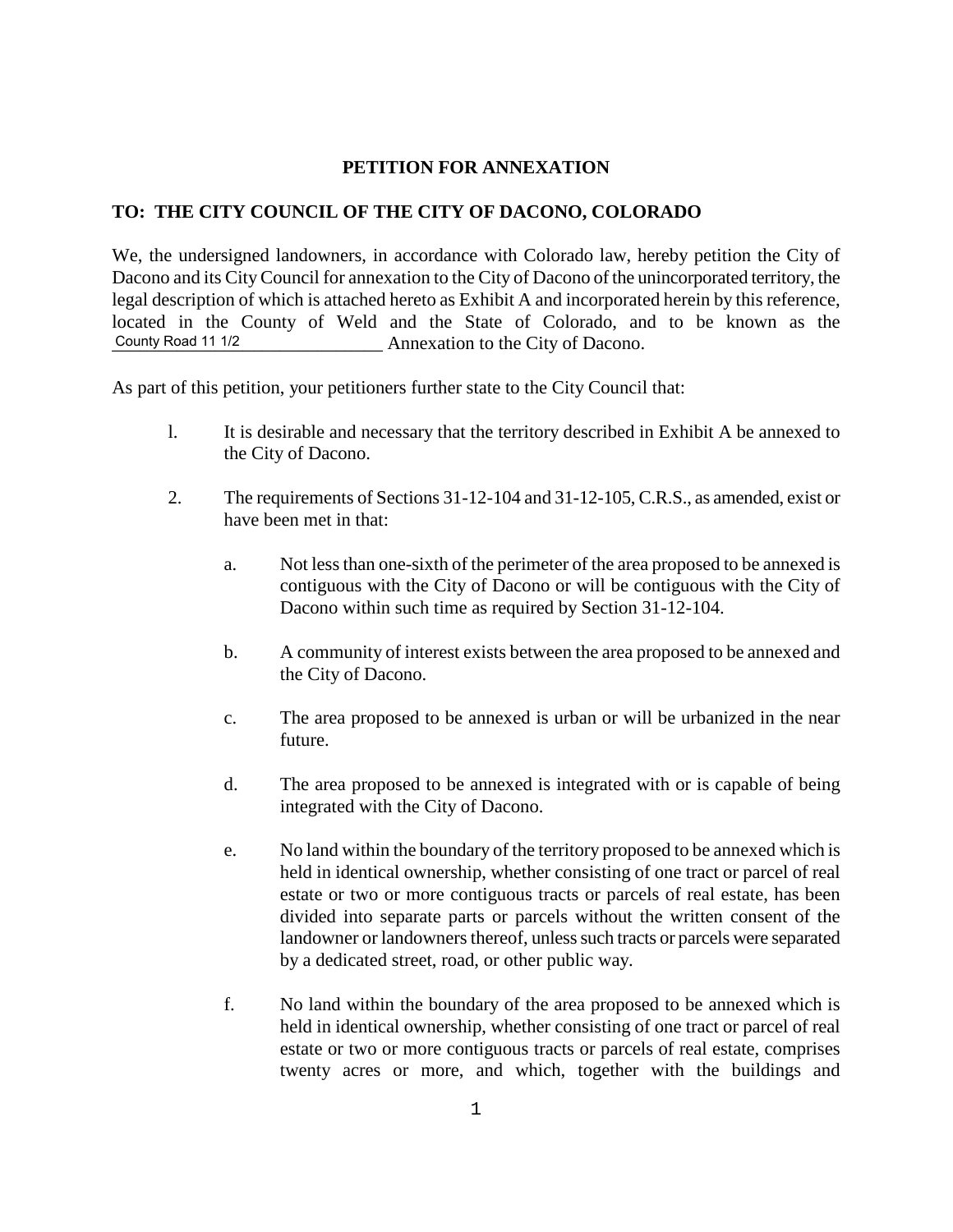#### **PETITION FOR ANNEXATION**

#### **TO: THE CITY COUNCIL OF THE CITY OF DACONO, COLORADO**

We, the undersigned landowners, in accordance with Colorado law, hereby petition the City of Dacono and its City Council for annexation to the City of Dacono of the unincorporated territory, the legal description of which is attached hereto as Exhibit A and incorporated herein by this reference, located in the County of Weld and the State of Colorado, and to be known as the \_\_\_\_\_\_\_\_\_\_\_\_\_\_\_\_\_\_\_\_\_\_\_\_\_\_\_\_\_ Annexation to the City of Dacono. County Road 11 1/2

As part of this petition, your petitioners further state to the City Council that:

- l. It is desirable and necessary that the territory described in Exhibit A be annexed to the City of Dacono.
- 2. The requirements of Sections 31-12-104 and 31-12-105, C.R.S., as amended, exist or have been met in that:
	- a. Not less than one-sixth of the perimeter of the area proposed to be annexed is contiguous with the City of Dacono or will be contiguous with the City of Dacono within such time as required by Section 31-12-104.
	- b. A community of interest exists between the area proposed to be annexed and the City of Dacono.
	- c. The area proposed to be annexed is urban or will be urbanized in the near future.
	- d. The area proposed to be annexed is integrated with or is capable of being integrated with the City of Dacono.
	- e. No land within the boundary of the territory proposed to be annexed which is held in identical ownership, whether consisting of one tract or parcel of real estate or two or more contiguous tracts or parcels of real estate, has been divided into separate parts or parcels without the written consent of the landowner or landowners thereof, unless such tracts or parcels were separated by a dedicated street, road, or other public way.
	- f. No land within the boundary of the area proposed to be annexed which is held in identical ownership, whether consisting of one tract or parcel of real estate or two or more contiguous tracts or parcels of real estate, comprises twenty acres or more, and which, together with the buildings and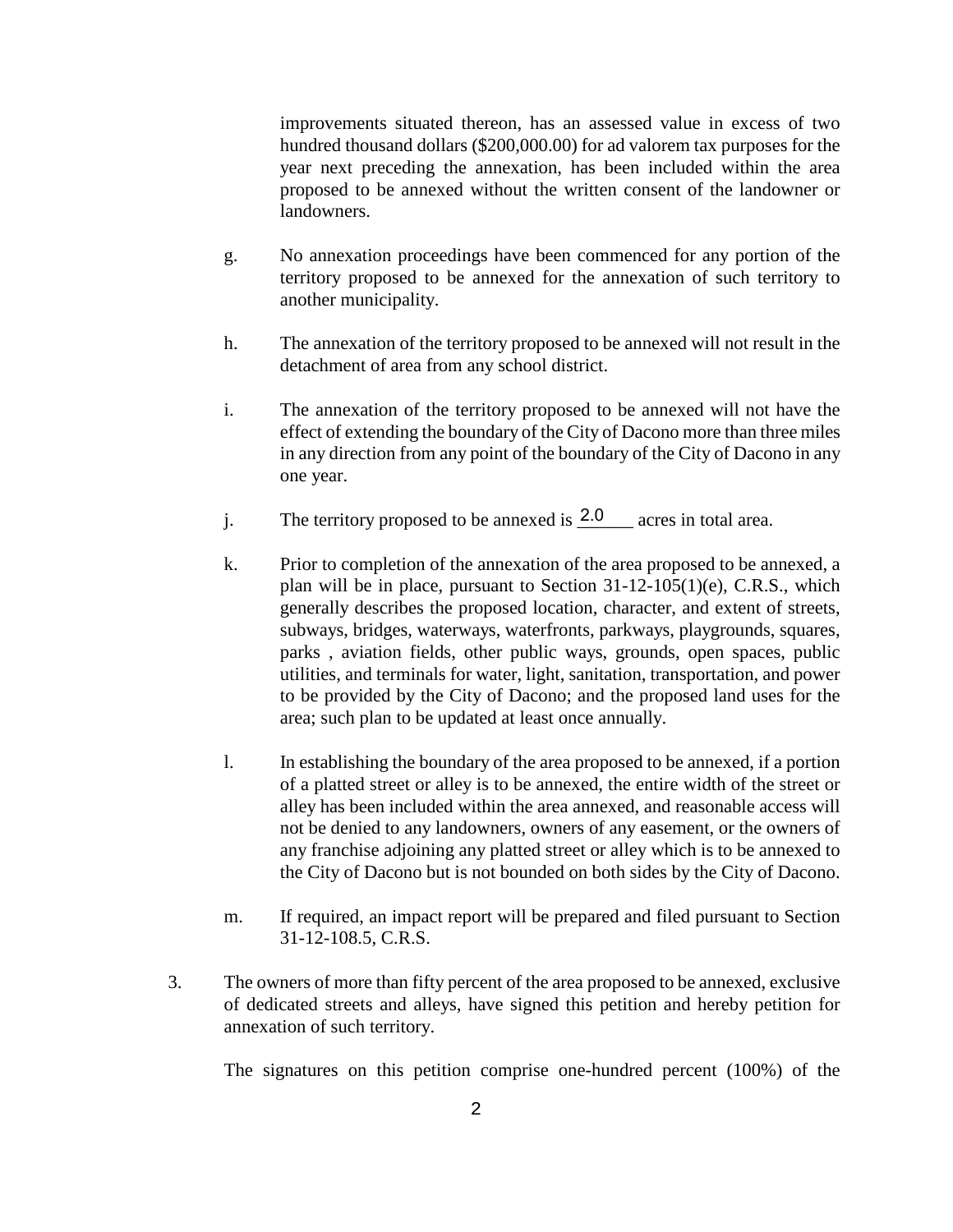improvements situated thereon, has an assessed value in excess of two hundred thousand dollars (\$200,000.00) for ad valorem tax purposes for the year next preceding the annexation, has been included within the area proposed to be annexed without the written consent of the landowner or landowners.

- g. No annexation proceedings have been commenced for any portion of the territory proposed to be annexed for the annexation of such territory to another municipality.
- h. The annexation of the territory proposed to be annexed will not result in the detachment of area from any school district.
- i. The annexation of the territory proposed to be annexed will not have the effect of extending the boundary of the City of Dacono more than three miles in any direction from any point of the boundary of the City of Dacono in any one year.
- j. The territory proposed to be annexed is  $\frac{2.0}{2.0}$  acres in total area.
- k. Prior to completion of the annexation of the area proposed to be annexed, a plan will be in place, pursuant to Section 31-12-105(1)(e), C.R.S., which generally describes the proposed location, character, and extent of streets, subways, bridges, waterways, waterfronts, parkways, playgrounds, squares, parks , aviation fields, other public ways, grounds, open spaces, public utilities, and terminals for water, light, sanitation, transportation, and power to be provided by the City of Dacono; and the proposed land uses for the area; such plan to be updated at least once annually.
- l. In establishing the boundary of the area proposed to be annexed, if a portion of a platted street or alley is to be annexed, the entire width of the street or alley has been included within the area annexed, and reasonable access will not be denied to any landowners, owners of any easement, or the owners of any franchise adjoining any platted street or alley which is to be annexed to the City of Dacono but is not bounded on both sides by the City of Dacono.
- m. If required, an impact report will be prepared and filed pursuant to Section 31-12-108.5, C.R.S.
- 3. The owners of more than fifty percent of the area proposed to be annexed, exclusive of dedicated streets and alleys, have signed this petition and hereby petition for annexation of such territory.

The signatures on this petition comprise one-hundred percent (100%) of the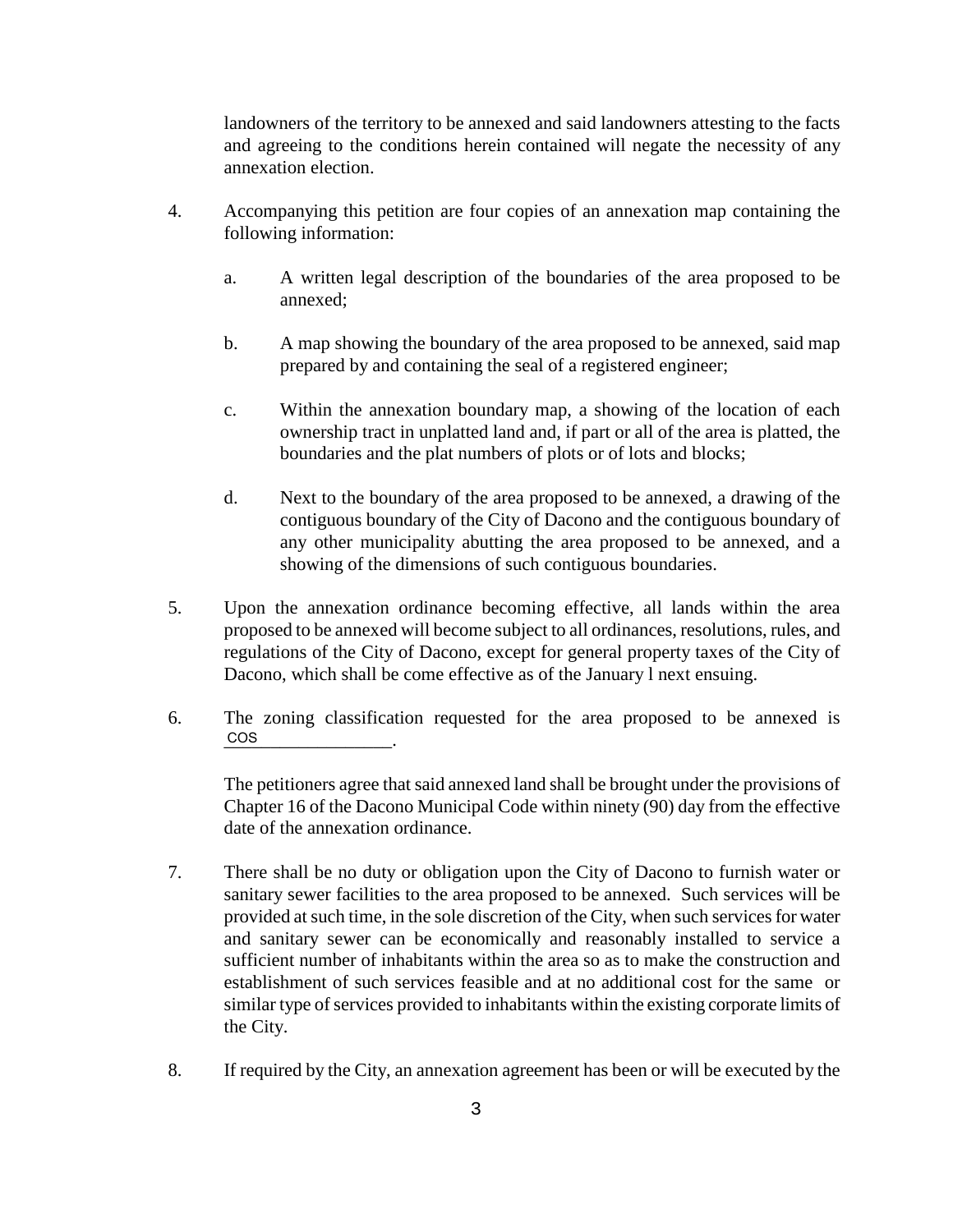landowners of the territory to be annexed and said landowners attesting to the facts and agreeing to the conditions herein contained will negate the necessity of any annexation election.

- 4. Accompanying this petition are four copies of an annexation map containing the following information:
	- a. A written legal description of the boundaries of the area proposed to be annexed;
	- b. A map showing the boundary of the area proposed to be annexed, said map prepared by and containing the seal of a registered engineer;
	- c. Within the annexation boundary map, a showing of the location of each ownership tract in unplatted land and, if part or all of the area is platted, the boundaries and the plat numbers of plots or of lots and blocks;
	- d. Next to the boundary of the area proposed to be annexed, a drawing of the contiguous boundary of the City of Dacono and the contiguous boundary of any other municipality abutting the area proposed to be annexed, and a showing of the dimensions of such contiguous boundaries.
- 5. Upon the annexation ordinance becoming effective, all lands within the area proposed to be annexed will become subject to all ordinances, resolutions, rules, and regulations of the City of Dacono, except for general property taxes of the City of Dacono, which shall be come effective as of the January l next ensuing.
- 6. The zoning classification requested for the area proposed to be annexed is \_\_\_\_\_\_\_\_\_\_\_\_\_\_\_\_\_\_. COS

The petitioners agree that said annexed land shall be brought under the provisions of Chapter 16 of the Dacono Municipal Code within ninety (90) day from the effective date of the annexation ordinance.

- 7. There shall be no duty or obligation upon the City of Dacono to furnish water or sanitary sewer facilities to the area proposed to be annexed. Such services will be provided at such time, in the sole discretion of the City, when such services for water and sanitary sewer can be economically and reasonably installed to service a sufficient number of inhabitants within the area so as to make the construction and establishment of such services feasible and at no additional cost for the same or similar type of services provided to inhabitants within the existing corporate limits of the City.
- 8. If required by the City, an annexation agreement has been or will be executed by the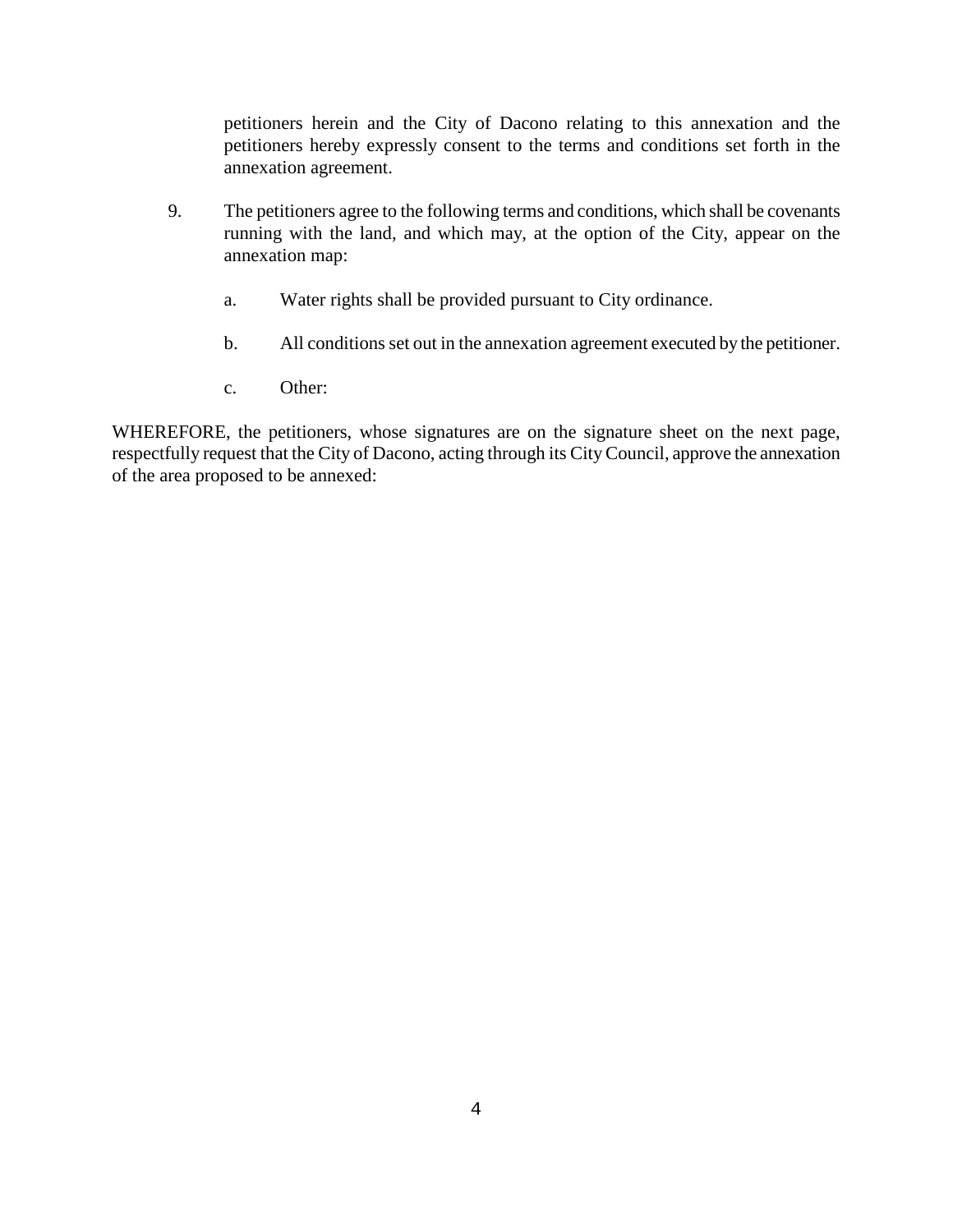petitioners herein and the City of Dacono relating to this annexation and the petitioners hereby expressly consent to the terms and conditions set forth in the annexation agreement.

- 9. The petitioners agree to the following terms and conditions, which shall be covenants running with the land, and which may, at the option of the City, appear on the annexation map:
	- a. Water rights shall be provided pursuant to City ordinance.
	- b. All conditions set out in the annexation agreement executed by the petitioner.
	- c. Other:

WHEREFORE, the petitioners, whose signatures are on the signature sheet on the next page, respectfully request that the City of Dacono, acting through its City Council, approve the annexation of the area proposed to be annexed: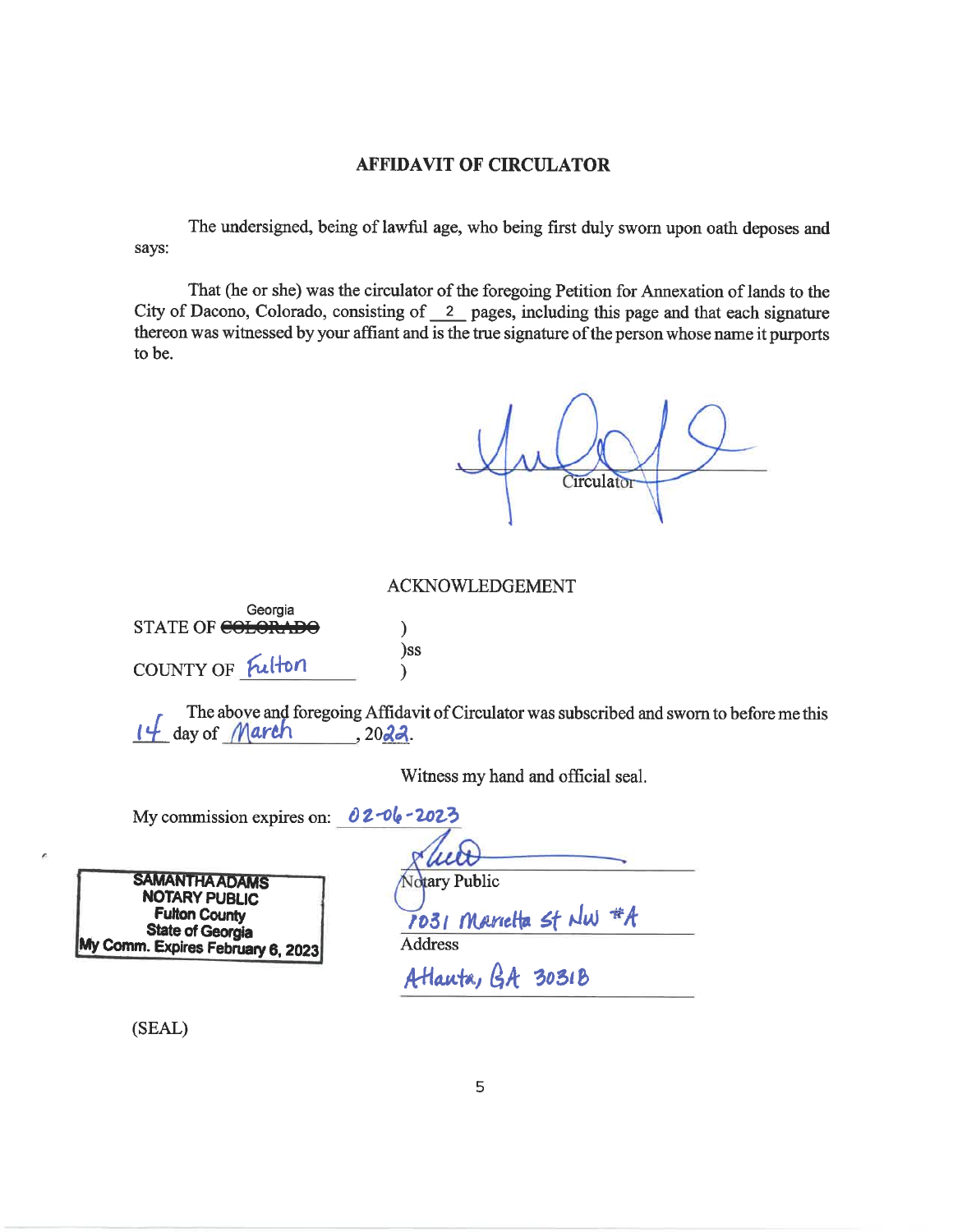#### **AFFIDAVIT OF CIRCULATOR**

The undersigned, being of lawful age, who being first duly sworn upon oath deposes and says:

That (he or she) was the circulator of the foregoing Petition for Annexation of lands to the City of Dacono, Colorado, consisting of  $\frac{2}{\sqrt{2}}$  pages, including this page and that each signature thereon was witnessed by your affiant and is the true signature of the person whose name it purports to be.

Circulator

#### **ACKNOWLEDGEMENT**

Georgia STATE OF COLORADO  $\mathcal{Y}$ )ss COUNTY OF Fulton  $\lambda$ 

The above and foregoing Affidavit of Circulator was subscribed and sworn to before me this  $14$  day of March 2022.

Witness my hand and official seal.

My commission expires on:  $02 - 06 - 202$ 

**SAMANTHA ADAMS NOTARY PUBLIC Fulton County State of Georgia** My Comm. Expires February 6, 2023

**Jotary Public** 1031 Marietta st NW #A **Address** 

Atlanta, GA 3031B

(SEAL)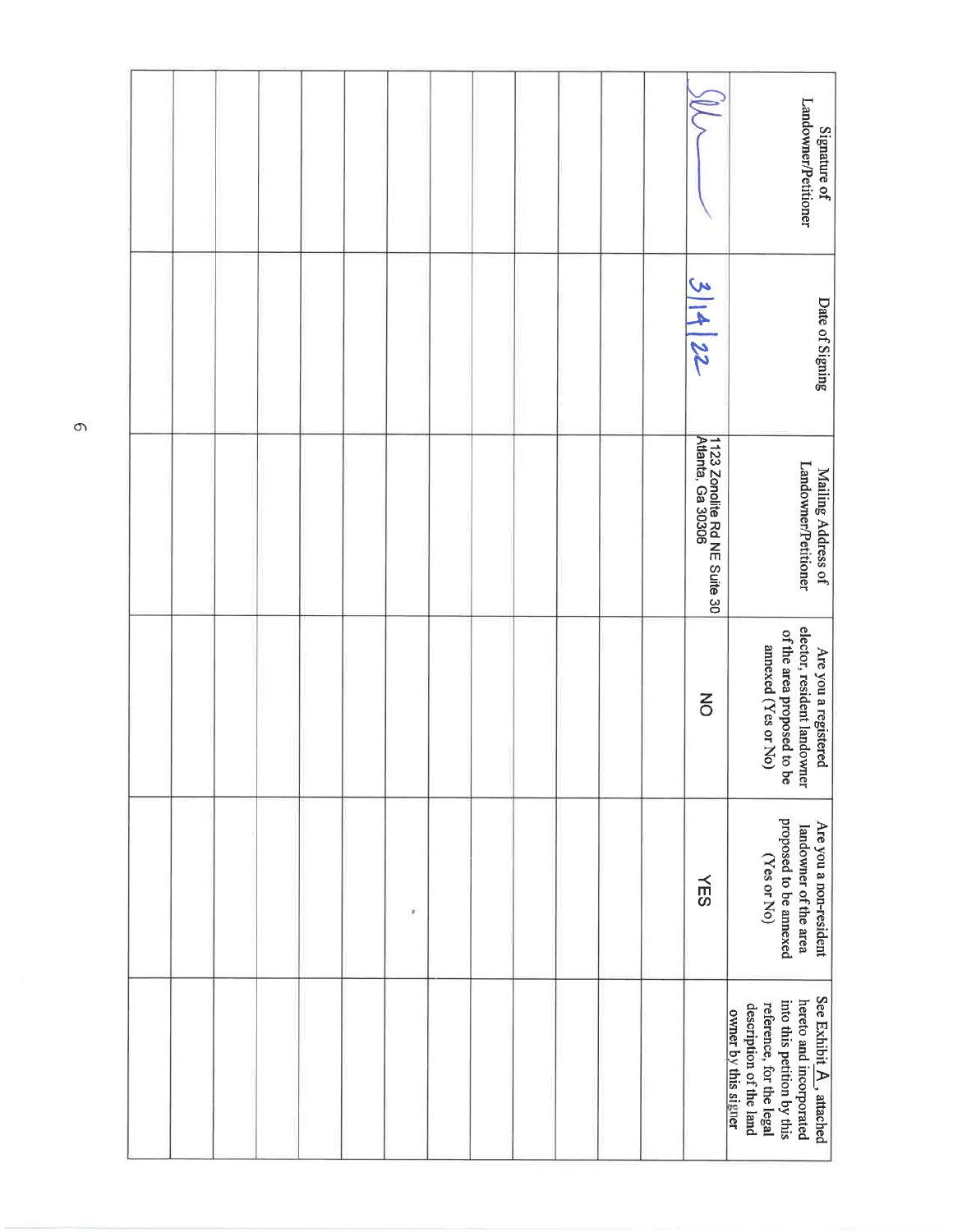| Landowner/Petitioner<br>Signature of                                                                                                                                           |                                                   |  |  |  |           |  |  |  |
|--------------------------------------------------------------------------------------------------------------------------------------------------------------------------------|---------------------------------------------------|--|--|--|-----------|--|--|--|
| Date of Signing                                                                                                                                                                | 31422                                             |  |  |  |           |  |  |  |
| Landowner/Petitioner<br>Mailing Address of                                                                                                                                     | 1123 Zonolite Rd NE Suite 30<br>Atlanta, Ga 30306 |  |  |  |           |  |  |  |
| elector, resident landowner<br>of the area proposed to be<br>annexed (Yes or No)<br>Are you a registered                                                                       | $\overline{6}$                                    |  |  |  |           |  |  |  |
| proposed to be annexed<br>Are you a non-resident<br>landowner of the area<br>(Yes or No)                                                                                       | <b>NES</b>                                        |  |  |  | $\pmb{y}$ |  |  |  |
| See Exhibit $\underline{A}$ , attached<br>hereto and incorporated<br>into this petition by this<br>reference, for the legal<br>description of the land<br>owner by this signer |                                                   |  |  |  |           |  |  |  |